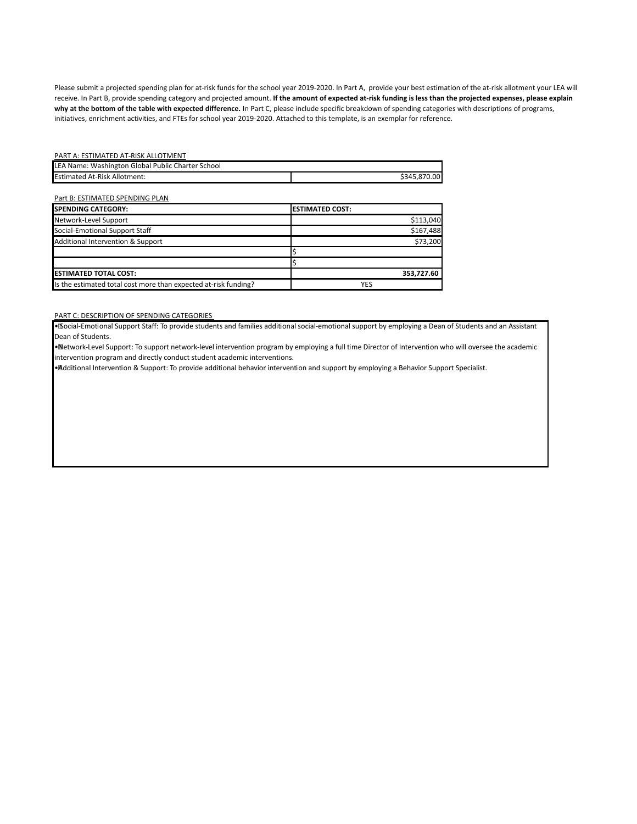Please submit a projected spending plan for at-risk funds for the school year 2019-2020. In Part A, provide your best estimation of the at-risk allotment your LEA will receive. In Part B, provide spending category and projected amount. I**f the amount of expected at-risk funding is less than the projected expenses, please explain why at the bottom of the table with expected difference.** In Part C, please include specific breakdown of spending categories with descriptions of programs, initiatives, enrichment activities, and FTEs for school year 2019-2020. Attached to this template, is an exemplar for reference.

## PART A: ESTIMATED AT-RISK ALLOTMENT

| LEA Name: Washington Global Public Charter School |              |
|---------------------------------------------------|--------------|
| <b>Estimated At-Risk Allotment:</b>               | \$345.870.00 |

## Part B: ESTIMATED SPENDING PLAN

| <b>ISPENDING CATEGORY:</b>                                      | <b>ESTIMATED COST:</b> |
|-----------------------------------------------------------------|------------------------|
| Network-Level Support                                           | \$113,040              |
| Social-Emotional Support Staff                                  | \$167,488              |
| Additional Intervention & Support                               | \$73,200               |
|                                                                 |                        |
|                                                                 |                        |
| <b>IESTIMATED TOTAL COST:</b>                                   | 353,727.60             |
| Is the estimated total cost more than expected at-risk funding? | YES                    |

## PART C: DESCRIPTION OF SPENDING CATEGORIES

• Social-Emotional Support Staff: To provide students and families additional social-emotional support by employing a Dean of Students and an Assistant Dean of Students.

• Network-Level Support: To support network-level intervention program by employing a full time Director of Intervention who will oversee the academic intervention program and directly conduct student academic interventions.

• Additional Intervention & Support: To provide additional behavior intervention and support by employing a Behavior Support Specialist.